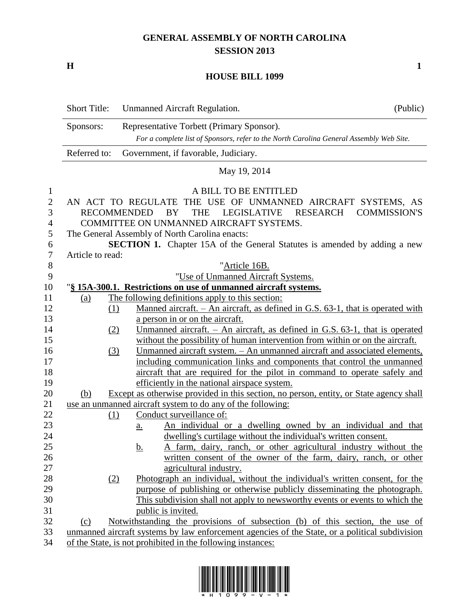## **GENERAL ASSEMBLY OF NORTH CAROLINA SESSION 2013**

**H 1**

## **HOUSE BILL 1099**

|                | <b>Short Title:</b> | <b>Unmanned Aircraft Regulation.</b>                                                           | (Public)            |
|----------------|---------------------|------------------------------------------------------------------------------------------------|---------------------|
|                | Sponsors:           | Representative Torbett (Primary Sponsor).                                                      |                     |
|                |                     | For a complete list of Sponsors, refer to the North Carolina General Assembly Web Site.        |                     |
|                | Referred to:        | Government, if favorable, Judiciary.                                                           |                     |
|                |                     | May 19, 2014                                                                                   |                     |
| $\mathbf{1}$   |                     | A BILL TO BE ENTITLED                                                                          |                     |
| $\overline{2}$ |                     | AN ACT TO REGULATE THE USE OF UNMANNED AIRCRAFT SYSTEMS, AS                                    |                     |
| 3              |                     | <b>RECOMMENDED</b><br><b>THE</b><br><b>LEGISLATIVE</b><br><b>RESEARCH</b><br>BY                | <b>COMMISSION'S</b> |
| 4              |                     | COMMITTEE ON UNMANNED AIRCRAFT SYSTEMS.                                                        |                     |
| 5              |                     | The General Assembly of North Carolina enacts:                                                 |                     |
| 6              |                     | <b>SECTION 1.</b> Chapter 15A of the General Statutes is amended by adding a new               |                     |
| $\tau$         | Article to read:    |                                                                                                |                     |
| $8\,$          |                     | "Article 16B.                                                                                  |                     |
| 9              |                     | "Use of Unmanned Aircraft Systems.                                                             |                     |
| 10             |                     | "§ 15A-300.1. Restrictions on use of unmanned aircraft systems.                                |                     |
| 11             | (a)                 | The following definitions apply to this section:                                               |                     |
| 12             | (1)                 | Manned aircraft. $-$ An aircraft, as defined in G.S. 63-1, that is operated with               |                     |
| 13             |                     | a person in or on the aircraft.                                                                |                     |
| 14             | (2)                 | Unmanned aircraft. $-$ An aircraft, as defined in G.S. 63-1, that is operated                  |                     |
| 15             |                     | without the possibility of human intervention from within or on the aircraft.                  |                     |
| 16             | (3)                 | Unmanned aircraft system. - An unmanned aircraft and associated elements,                      |                     |
| 17             |                     | including communication links and components that control the unmanned                         |                     |
| 18             |                     | aircraft that are required for the pilot in command to operate safely and                      |                     |
| 19             |                     | efficiently in the national airspace system.                                                   |                     |
| 20             | (b)                 | Except as otherwise provided in this section, no person, entity, or State agency shall         |                     |
| 21             |                     | use an unmanned aircraft system to do any of the following:                                    |                     |
| 22             | (1)                 | Conduct surveillance of:                                                                       |                     |
| 23             |                     | An individual or a dwelling owned by an individual and that<br><u>a.</u>                       |                     |
| 24             |                     | dwelling's curtilage without the individual's written consent.                                 |                     |
| 25             |                     | A farm, dairy, ranch, or other agricultural industry without the<br><u>b.</u>                  |                     |
| 26             |                     | written consent of the owner of the farm, dairy, ranch, or other                               |                     |
| 27             |                     | agricultural industry.                                                                         |                     |
| 28             | (2)                 | Photograph an individual, without the individual's written consent, for the                    |                     |
| 29             |                     | purpose of publishing or otherwise publicly disseminating the photograph.                      |                     |
| 30             |                     | This subdivision shall not apply to news worthy events or events to which the                  |                     |
| 31             |                     | public is invited.                                                                             |                     |
| 32             | (c)                 | Notwithstanding the provisions of subsection (b) of this section, the use of                   |                     |
| 33             |                     | unmanned aircraft systems by law enforcement agencies of the State, or a political subdivision |                     |
| 34             |                     | of the State, is not prohibited in the following instances:                                    |                     |

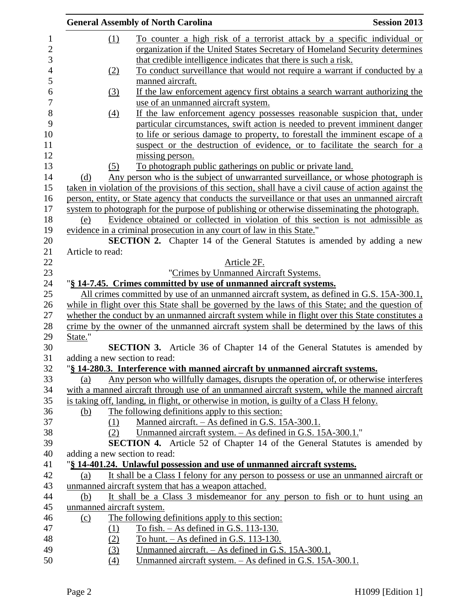|                |                               | <b>General Assembly of North Carolina</b>                                                                                                                        | <b>Session 2013</b> |
|----------------|-------------------------------|------------------------------------------------------------------------------------------------------------------------------------------------------------------|---------------------|
| $\mathbf{1}$   | (1)                           | To counter a high risk of a terrorist attack by a specific individual or                                                                                         |                     |
| $\mathbf{2}$   |                               | organization if the United States Secretary of Homeland Security determines                                                                                      |                     |
| 3              |                               | that credible intelligence indicates that there is such a risk.                                                                                                  |                     |
| $\overline{4}$ | (2)                           | To conduct surveillance that would not require a warrant if conducted by a                                                                                       |                     |
| 5              |                               | manned aircraft.                                                                                                                                                 |                     |
| 6              | (3)                           | If the law enforcement agency first obtains a search warrant authorizing the                                                                                     |                     |
| $\overline{7}$ |                               | use of an unmanned aircraft system.                                                                                                                              |                     |
| 8              | $\underline{(4)}$             | If the law enforcement agency possesses reasonable suspicion that, under                                                                                         |                     |
| 9              |                               | particular circumstances, swift action is needed to prevent imminent danger                                                                                      |                     |
| 10             |                               | to life or serious damage to property, to forestall the imminent escape of a                                                                                     |                     |
| 11             |                               | suspect or the destruction of evidence, or to facilitate the search for a                                                                                        |                     |
| 12             |                               | missing person.                                                                                                                                                  |                     |
| 13             | (5)                           | To photograph public gatherings on public or private land.                                                                                                       |                     |
| 14             | (d)                           | Any person who is the subject of unwarranted surveillance, or whose photograph is                                                                                |                     |
| 15             |                               | taken in violation of the provisions of this section, shall have a civil cause of action against the                                                             |                     |
| 16             |                               | person, entity, or State agency that conducts the surveillance or that uses an unmanned aircraft                                                                 |                     |
| 17             |                               | system to photograph for the purpose of publishing or otherwise disseminating the photograph.                                                                    |                     |
| 18             | (e)                           | Evidence obtained or collected in violation of this section is not admissible as                                                                                 |                     |
| 19             |                               | evidence in a criminal prosecution in any court of law in this State."                                                                                           |                     |
| 20             |                               | <b>SECTION 2.</b> Chapter 14 of the General Statutes is amended by adding a new                                                                                  |                     |
| 21<br>22       | Article to read:              | Article 2F.                                                                                                                                                      |                     |
| 23             |                               | "Crimes by Unmanned Aircraft Systems.                                                                                                                            |                     |
| 24             |                               | "§ 14-7.45. Crimes committed by use of unmanned aircraft systems.                                                                                                |                     |
| 25             |                               | All crimes committed by use of an unmanned aircraft system, as defined in G.S. 15A-300.1,                                                                        |                     |
| 26             |                               | while in flight over this State shall be governed by the laws of this State; and the question of                                                                 |                     |
| 27             |                               | whether the conduct by an unmanned aircraft system while in flight over this State constitutes a                                                                 |                     |
| 28             |                               | crime by the owner of the unmanned aircraft system shall be determined by the laws of this                                                                       |                     |
| 29             | State."                       |                                                                                                                                                                  |                     |
| 30             |                               | <b>SECTION 3.</b> Article 36 of Chapter 14 of the General Statutes is amended by                                                                                 |                     |
| 31             | adding a new section to read: |                                                                                                                                                                  |                     |
| 32             |                               | "\\$ 14-280.3. Interference with manned aircraft by unmanned aircraft systems.                                                                                   |                     |
| 33             | (a)                           | Any person who willfully damages, disrupts the operation of, or otherwise interferes                                                                             |                     |
| 34             |                               | with a manned aircraft through use of an unmanned aircraft system, while the manned aircraft                                                                     |                     |
| 35             |                               | is taking off, landing, in flight, or otherwise in motion, is guilty of a Class H felony.                                                                        |                     |
| 36             | (b)                           | The following definitions apply to this section:                                                                                                                 |                     |
| 37             | (1)                           | Manned aircraft. - As defined in G.S. 15A-300.1.                                                                                                                 |                     |
| 38             | (2)                           | Unmanned aircraft system. - As defined in G.S. 15A-300.1."                                                                                                       |                     |
| 39             |                               | <b>SECTION 4.</b> Article 52 of Chapter 14 of the General Statutes is amended by                                                                                 |                     |
| 40<br>41       | adding a new section to read: |                                                                                                                                                                  |                     |
| 42             | (a)                           | "§ 14-401.24. Unlawful possession and use of unmanned aircraft systems.<br>It shall be a Class I felony for any person to possess or use an unmanned aircraft or |                     |
| 43             |                               | unmanned aircraft system that has a weapon attached.                                                                                                             |                     |
| 44             | (b)                           | It shall be a Class 3 misdemeanor for any person to fish or to hunt using an                                                                                     |                     |
| 45             | unmanned aircraft system.     |                                                                                                                                                                  |                     |
| 46             | (c)                           | The following definitions apply to this section:                                                                                                                 |                     |
| 47             | (1)                           | To fish. $-$ As defined in G.S. 113-130.                                                                                                                         |                     |
| 48             | (2)                           | To hunt. $-$ As defined in G.S. 113-130.                                                                                                                         |                     |
| 49             | (3)                           | Unmanned aircraft. – As defined in G.S. 15A-300.1.                                                                                                               |                     |
| 50             | (4)                           | Unmanned aircraft system. - As defined in G.S. 15A-300.1.                                                                                                        |                     |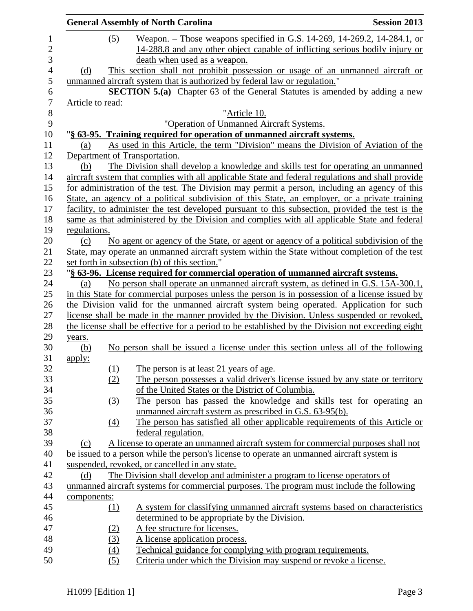|                |                  |                  | <b>General Assembly of North Carolina</b>                                                                                                                                                       | <b>Session 2013</b> |
|----------------|------------------|------------------|-------------------------------------------------------------------------------------------------------------------------------------------------------------------------------------------------|---------------------|
| $\mathbf{1}$   |                  | (5)              | <u>Weapon. – Those weapons specified in G.S. 14-269, 14-269.2, 14-284.1, or</u>                                                                                                                 |                     |
| $\overline{2}$ |                  |                  | 14-288.8 and any other object capable of inflicting serious bodily injury or                                                                                                                    |                     |
| 3              |                  |                  | death when used as a weapon.                                                                                                                                                                    |                     |
| $\overline{4}$ | (d)              |                  | This section shall not prohibit possession or usage of an unmanned aircraft or                                                                                                                  |                     |
|                |                  |                  | unmanned aircraft system that is authorized by federal law or regulation."                                                                                                                      |                     |
|                |                  |                  | <b>SECTION 5.(a)</b> Chapter 63 of the General Statutes is amended by adding a new                                                                                                              |                     |
|                | Article to read: |                  |                                                                                                                                                                                                 |                     |
|                |                  |                  | "Article 10.                                                                                                                                                                                    |                     |
|                |                  |                  | "Operation of Unmanned Aircraft Systems.                                                                                                                                                        |                     |
|                |                  |                  | "§ 63-95. Training required for operation of unmanned aircraft systems.                                                                                                                         |                     |
|                | (a)              |                  | As used in this Article, the term "Division" means the Division of Aviation of the                                                                                                              |                     |
|                |                  |                  | Department of Transportation.                                                                                                                                                                   |                     |
|                | (b)              |                  | The Division shall develop a knowledge and skills test for operating an unmanned                                                                                                                |                     |
|                |                  |                  | aircraft system that complies with all applicable State and federal regulations and shall provide                                                                                               |                     |
|                |                  |                  | for administration of the test. The Division may permit a person, including an agency of this                                                                                                   |                     |
|                |                  |                  | State, an agency of a political subdivision of this State, an employer, or a private training                                                                                                   |                     |
|                |                  |                  | facility, to administer the test developed pursuant to this subsection, provided the test is the                                                                                                |                     |
|                |                  |                  | same as that administered by the Division and complies with all applicable State and federal                                                                                                    |                     |
|                | regulations.     |                  |                                                                                                                                                                                                 |                     |
|                | (c)              |                  | No agent or agency of the State, or agent or agency of a political subdivision of the                                                                                                           |                     |
|                |                  |                  | State, may operate an unmanned aircraft system within the State without completion of the test                                                                                                  |                     |
|                |                  |                  | set forth in subsection (b) of this section."                                                                                                                                                   |                     |
|                |                  |                  | "§ 63-96. License required for commercial operation of unmanned aircraft systems.                                                                                                               |                     |
|                | (a)              |                  | No person shall operate an unmanned aircraft system, as defined in G.S. 15A-300.1,                                                                                                              |                     |
|                |                  |                  | in this State for commercial purposes unless the person is in possession of a license issued by                                                                                                 |                     |
|                |                  |                  | the Division valid for the unmanned aircraft system being operated. Application for such                                                                                                        |                     |
|                |                  |                  | license shall be made in the manner provided by the Division. Unless suspended or revoked,<br>the license shall be effective for a period to be established by the Division not exceeding eight |                     |
|                |                  |                  |                                                                                                                                                                                                 |                     |
|                | years.<br>(b)    |                  | No person shall be issued a license under this section unless all of the following                                                                                                              |                     |
|                | apply:           |                  |                                                                                                                                                                                                 |                     |
|                |                  | <u>(1)</u>       | The person is at least 21 years of age.                                                                                                                                                         |                     |
|                |                  | (2)              | The person possesses a valid driver's license issued by any state or territory                                                                                                                  |                     |
|                |                  |                  | of the United States or the District of Columbia.                                                                                                                                               |                     |
|                |                  | (3)              | The person has passed the knowledge and skills test for operating an                                                                                                                            |                     |
|                |                  |                  | unmanned aircraft system as prescribed in G.S. 63-95(b).                                                                                                                                        |                     |
|                |                  | $\left(4\right)$ | The person has satisfied all other applicable requirements of this Article or                                                                                                                   |                     |
|                |                  |                  | federal regulation.                                                                                                                                                                             |                     |
|                | (c)              |                  | A license to operate an unmanned aircraft system for commercial purposes shall not                                                                                                              |                     |
|                |                  |                  | be issued to a person while the person's license to operate an unmanned aircraft system is                                                                                                      |                     |
|                |                  |                  | suspended, revoked, or cancelled in any state.                                                                                                                                                  |                     |
|                | (d)              |                  | The Division shall develop and administer a program to license operators of                                                                                                                     |                     |
|                |                  |                  | unmanned aircraft systems for commercial purposes. The program must include the following                                                                                                       |                     |
|                | components:      |                  |                                                                                                                                                                                                 |                     |
|                |                  | <u>(1)</u>       | A system for classifying unmanned aircraft systems based on characteristics                                                                                                                     |                     |
|                |                  |                  | determined to be appropriate by the Division.                                                                                                                                                   |                     |
|                |                  | <u>(2)</u>       | A fee structure for licenses.                                                                                                                                                                   |                     |
|                |                  | (3)              | A license application process.                                                                                                                                                                  |                     |
|                |                  | (4)              | Technical guidance for complying with program requirements.                                                                                                                                     |                     |
|                |                  | (5)              | Criteria under which the Division may suspend or revoke a license.                                                                                                                              |                     |